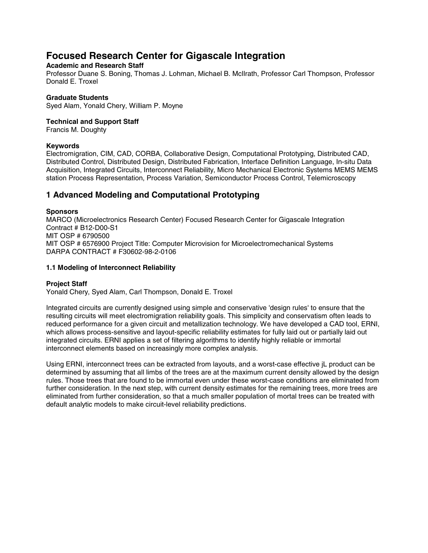# **Focused Research Center for Gigascale Integration**

# **Academic and Research Staff**

Professor Duane S. Boning, Thomas J. Lohman, Michael B. McIlrath, Professor Carl Thompson, Professor Donald E. Troxel

## **Graduate Students**

Syed Alam, Yonald Chery, William P. Moyne

#### **Technical and Support Staff**

Francis M. Doughty

## **Keywords**

Electromigration, CIM, CAD, CORBA, Collaborative Design, Computational Prototyping, Distributed CAD, Distributed Control, Distributed Design, Distributed Fabrication, Interface Definition Language, In-situ Data Acquisition, Integrated Circuits, Interconnect Reliability, Micro Mechanical Electronic Systems MEMS MEMS station Process Representation, Process Variation, Semiconductor Process Control, Telemicroscopy

# **1 Advanced Modeling and Computational Prototyping**

# **Sponsors**

MARCO (Microelectronics Research Center) Focused Research Center for Gigascale Integration Contract # B12-D00-S1 MIT OSP # 6790500 MIT OSP # 6576900 Project Title: Computer Microvision for Microelectromechanical Systems DARPA CONTRACT # F30602-98-2-0106

## **1.1 Modeling of Interconnect Reliability**

# **Project Staff**

Yonald Chery, Syed Alam, Carl Thompson, Donald E. Troxel

Integrated circuits are currently designed using simple and conservative 'design rules' to ensure that the resulting circuits will meet electromigration reliability goals. This simplicity and conservatism often leads to reduced performance for a given circuit and metallization technology. We have developed a CAD tool, ERNI, which allows process-sensitive and layout-specific reliability estimates for fully laid out or partially laid out integrated circuits. ERNI applies a set of filtering algorithms to identify highly reliable or immortal interconnect elements based on increasingly more complex analysis.

Using ERNI, interconnect trees can be extracted from layouts, and a worst-case effective jL product can be determined by assuming that all limbs of the trees are at the maximum current density allowed by the design rules. Those trees that are found to be immortal even under these worst-case conditions are eliminated from further consideration. In the next step, with current density estimates for the remaining trees, more trees are eliminated from further consideration, so that a much smaller population of mortal trees can be treated with default analytic models to make circuit-level reliability predictions.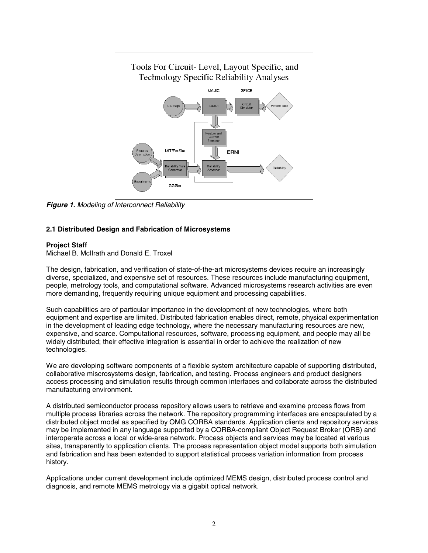

*Figure 1. Modeling of Interconnect Reliability*

## **2.1 Distributed Design and Fabrication of Microsystems**

#### **Project Staff**

Michael B. McIlrath and Donald E. Troxel

The design, fabrication, and verification of state-of-the-art microsystems devices require an increasingly diverse, specialized, and expensive set of resources. These resources include manufacturing equipment, people, metrology tools, and computational software. Advanced microsystems research activities are even more demanding, frequently requiring unique equipment and processing capabilities.

Such capabilities are of particular importance in the development of new technologies, where both equipment and expertise are limited. Distributed fabrication enables direct, remote, physical experimentation in the development of leading edge technology, where the necessary manufacturing resources are new, expensive, and scarce. Computational resources, software, processing equipment, and people may all be widely distributed; their effective integration is essential in order to achieve the realization of new technologies.

We are developing software components of a flexible system architecture capable of supporting distributed, collaborative miscrosystems design, fabrication, and testing. Process engineers and product designers access processing and simulation results through common interfaces and collaborate across the distributed manufacturing environment.

A distributed semiconductor process repository allows users to retrieve and examine process flows from multiple process libraries across the network. The repository programming interfaces are encapsulated by a distributed object model as specified by OMG CORBA standards. Application clients and repository services may be implemented in any language supported by a CORBA-compliant Object Request Broker (ORB) and interoperate across a local or wide-area network. Process objects and services may be located at various sites, transparently to application clients. The process representation object model supports both simulation and fabrication and has been extended to support statistical process variation information from process history.

Applications under current development include optimized MEMS design, distributed process control and diagnosis, and remote MEMS metrology via a gigabit optical network.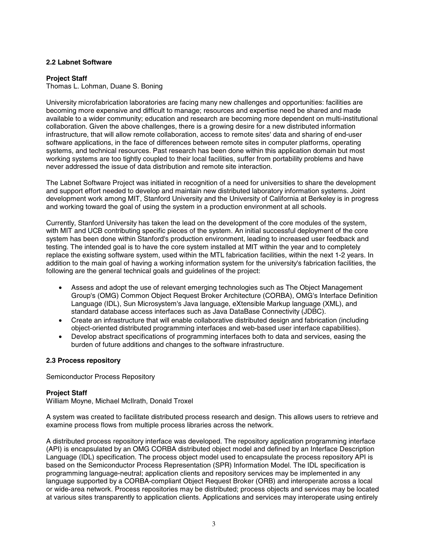#### **2.2 Labnet Software**

#### **Project Staff**

Thomas L. Lohman, Duane S. Boning

University microfabrication laboratories are facing many new challenges and opportunities: facilities are becoming more expensive and difficult to manage; resources and expertise need be shared and made available to a wider community; education and research are becoming more dependent on multi-institutional collaboration. Given the above challenges, there is a growing desire for a new distributed information infrastructure, that will allow remote collaboration, access to remote sites' data and sharing of end-user software applications, in the face of differences between remote sites in computer platforms, operating systems, and technical resources. Past research has been done within this application domain but most working systems are too tightly coupled to their local facilities, suffer from portability problems and have never addressed the issue of data distribution and remote site interaction.

The Labnet Software Project was initiated in recognition of a need for universities to share the development and support effort needed to develop and maintain new distributed laboratory information systems. Joint development work among MIT, Stanford University and the University of California at Berkeley is in progress and working toward the goal of using the system in a production environment at all schools.

Currently, Stanford University has taken the lead on the development of the core modules of the system, with MIT and UCB contributing specific pieces of the system. An initial successful deployment of the core system has been done within Stanford's production environment, leading to increased user feedback and testing. The intended goal is to have the core system installed at MIT within the year and to completely replace the existing software system, used within the MTL fabrication facilities, within the next 1-2 years. In addition to the main goal of having a working information system for the university's fabrication facilities, the following are the general technical goals and guidelines of the project:

- Assess and adopt the use of relevant emerging technologies such as The Object Management Group's (OMG) Common Object Request Broker Architecture (CORBA), OMG's Interface Definition Language (IDL), Sun Microsystem's Java language, eXtensible Markup language (XML), and standard database access interfaces such as Java DataBase Connectivity (JDBC).
- Create an infrastructure that will enable collaborative distributed design and fabrication (including object-oriented distributed programming interfaces and web-based user interface capabilities).
- Develop abstract specifications of programming interfaces both to data and services, easing the burden of future additions and changes to the software infrastructure.

#### **2.3 Process repository**

Semiconductor Process Repository

#### **Project Staff**

William Moyne, Michael McIlrath, Donald Troxel

A system was created to facilitate distributed process research and design. This allows users to retrieve and examine process flows from multiple process libraries across the network.

A distributed process repository interface was developed. The repository application programming interface (API) is encapsulated by an OMG CORBA distributed object model and defined by an Interface Description Language (IDL) specification. The process object model used to encapsulate the process repository API is based on the Semiconductor Process Representation (SPR) Information Model. The IDL specification is programming language-neutral; application clients and repository services may be implemented in any language supported by a CORBA-compliant Object Request Broker (ORB) and interoperate across a local or wide-area network. Process repositories may be distributed; process objects and services may be located at various sites transparently to application clients. Applications and services may interoperate using entirely